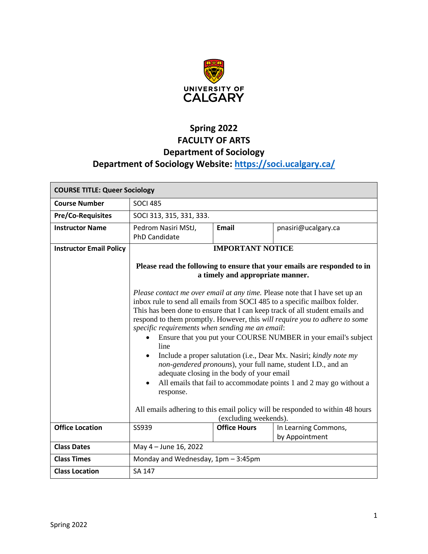

# **Spring 2022 FACULTY OF ARTS Department of Sociology Department of Sociology Website:<https://soci.ucalgary.ca/>**

| <b>COURSE TITLE: Queer Sociology</b> |                                                                                                                                                                                                                                                                                                                                                                                                                                                                                                                                                                                                                                                                                                                                                                                                                                                    |                         |                      |
|--------------------------------------|----------------------------------------------------------------------------------------------------------------------------------------------------------------------------------------------------------------------------------------------------------------------------------------------------------------------------------------------------------------------------------------------------------------------------------------------------------------------------------------------------------------------------------------------------------------------------------------------------------------------------------------------------------------------------------------------------------------------------------------------------------------------------------------------------------------------------------------------------|-------------------------|----------------------|
| <b>Course Number</b>                 | <b>SOCI 485</b>                                                                                                                                                                                                                                                                                                                                                                                                                                                                                                                                                                                                                                                                                                                                                                                                                                    |                         |                      |
| <b>Pre/Co-Requisites</b>             | SOCI 313, 315, 331, 333.                                                                                                                                                                                                                                                                                                                                                                                                                                                                                                                                                                                                                                                                                                                                                                                                                           |                         |                      |
| <b>Instructor Name</b>               | Pedrom Nasiri MStJ,<br><b>PhD Candidate</b>                                                                                                                                                                                                                                                                                                                                                                                                                                                                                                                                                                                                                                                                                                                                                                                                        | Email                   | pnasiri@ucalgary.ca  |
| <b>Instructor Email Policy</b>       |                                                                                                                                                                                                                                                                                                                                                                                                                                                                                                                                                                                                                                                                                                                                                                                                                                                    | <b>IMPORTANT NOTICE</b> |                      |
|                                      | Please read the following to ensure that your emails are responded to in<br>a timely and appropriate manner.                                                                                                                                                                                                                                                                                                                                                                                                                                                                                                                                                                                                                                                                                                                                       |                         |                      |
|                                      | Please contact me over email at any time. Please note that I have set up an<br>inbox rule to send all emails from SOCI 485 to a specific mailbox folder.<br>This has been done to ensure that I can keep track of all student emails and<br>respond to them promptly. However, this will require you to adhere to some<br>specific requirements when sending me an email:<br>Ensure that you put your COURSE NUMBER in your email's subject<br>line<br>Include a proper salutation (i.e., Dear Mx. Nasiri; kindly note my<br>non-gendered pronouns), your full name, student I.D., and an<br>adequate closing in the body of your email<br>All emails that fail to accommodate points 1 and 2 may go without a<br>$\bullet$<br>response.<br>All emails adhering to this email policy will be responded to within 48 hours<br>(excluding weekends). |                         |                      |
| <b>Office Location</b>               | SS939                                                                                                                                                                                                                                                                                                                                                                                                                                                                                                                                                                                                                                                                                                                                                                                                                                              | <b>Office Hours</b>     | In Learning Commons, |
| <b>Class Dates</b>                   | by Appointment                                                                                                                                                                                                                                                                                                                                                                                                                                                                                                                                                                                                                                                                                                                                                                                                                                     |                         |                      |
|                                      | May 4 - June 16, 2022                                                                                                                                                                                                                                                                                                                                                                                                                                                                                                                                                                                                                                                                                                                                                                                                                              |                         |                      |
| <b>Class Times</b>                   | Monday and Wednesday, 1pm - 3:45pm                                                                                                                                                                                                                                                                                                                                                                                                                                                                                                                                                                                                                                                                                                                                                                                                                 |                         |                      |
| <b>Class Location</b>                | SA 147                                                                                                                                                                                                                                                                                                                                                                                                                                                                                                                                                                                                                                                                                                                                                                                                                                             |                         |                      |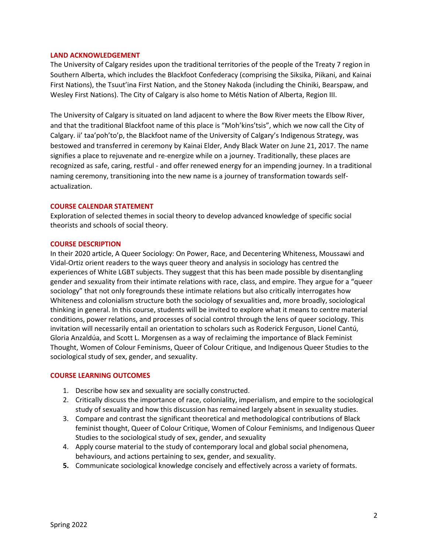### **LAND ACKNOWLEDGEMENT**

The University of Calgary resides upon the traditional territories of the people of the Treaty 7 region in Southern Alberta, which includes the Blackfoot Confederacy (comprising the Siksika, Piikani, and Kainai First Nations), the Tsuut'ina First Nation, and the Stoney Nakoda (including the Chiniki, Bearspaw, and Wesley First Nations). The City of Calgary is also home to Métis Nation of Alberta, Region III.

The University of Calgary is situated on land adjacent to where the Bow River meets the Elbow River, and that the traditional Blackfoot name of this place is "Moh'kins'tsis", which we now call the City of Calgary. ii' taa'poh'to'p, the Blackfoot name of the University of Calgary's Indigenous Strategy, was bestowed and transferred in ceremony by Kainai Elder, Andy Black Water on June 21, 2017. The name signifies a place to rejuvenate and re-energize while on a journey. Traditionally, these places are recognized as safe, caring, restful - and offer renewed energy for an impending journey. In a traditional naming ceremony, transitioning into the new name is a journey of transformation towards selfactualization.

### **COURSE CALENDAR STATEMENT**

Exploration of selected themes in social theory to develop advanced knowledge of specific social theorists and schools of social theory.

#### **COURSE DESCRIPTION**

In their 2020 article, A Queer Sociology: On Power, Race, and Decentering Whiteness, Moussawi and Vidal-Ortiz orient readers to the ways queer theory and analysis in sociology has centred the experiences of White LGBT subjects. They suggest that this has been made possible by disentangling gender and sexuality from their intimate relations with race, class, and empire. They argue for a "queer sociology" that not only foregrounds these intimate relations but also critically interrogates how Whiteness and colonialism structure both the sociology of sexualities and, more broadly, sociological thinking in general. In this course, students will be invited to explore what it means to centre material conditions, power relations, and processes of social control through the lens of queer sociology. This invitation will necessarily entail an orientation to scholars such as Roderick Ferguson, Lionel Cantú, Gloria Anzaldúa, and Scott L. Morgensen as a way of reclaiming the importance of Black Feminist Thought, Women of Colour Feminisms, Queer of Colour Critique, and Indigenous Queer Studies to the sociological study of sex, gender, and sexuality.

#### **COURSE LEARNING OUTCOMES**

- 1. Describe how sex and sexuality are socially constructed.
- 2. Critically discuss the importance of race, coloniality, imperialism, and empire to the sociological study of sexuality and how this discussion has remained largely absent in sexuality studies.
- 3. Compare and contrast the significant theoretical and methodological contributions of Black feminist thought, Queer of Colour Critique, Women of Colour Feminisms, and Indigenous Queer Studies to the sociological study of sex, gender, and sexuality
- 4. Apply course material to the study of contemporary local and global social phenomena, behaviours, and actions pertaining to sex, gender, and sexuality.
- **5.** Communicate sociological knowledge concisely and effectively across a variety of formats.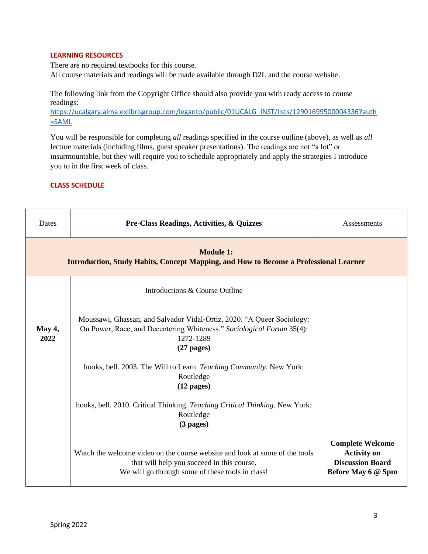### **LEARNING RESOURCES**

There are no required textbooks for this course. All course materials and readings will be made available through D2L and the course website.

The following link from the Copyright Office should also provide you with ready access to course readings:

[https://ucalgary.alma.exlibrisgroup.com/leganto/public/01UCALG\\_INST/lists/12901699500004336?auth](https://ucalgary.alma.exlibrisgroup.com/leganto/public/01UCALG_INST/lists/12901699500004336?auth=SAML) [=SAML](https://ucalgary.alma.exlibrisgroup.com/leganto/public/01UCALG_INST/lists/12901699500004336?auth=SAML)

You will be responsible for completing *all* readings specified in the course outline (above), as well as *all* lecture materials (including films, guest speaker presentations). The readings are not "a lot" or insurmountable, but they will require you to schedule appropriately and apply the strategies I introduce you to in the first week of class.

# **CLASS SCHEDULE**

| Dates          | Pre-Class Readings, Activities, & Quizzes                                                                                                                                     | Assessments                                                                                    |  |  |  |
|----------------|-------------------------------------------------------------------------------------------------------------------------------------------------------------------------------|------------------------------------------------------------------------------------------------|--|--|--|
|                | <b>Module 1:</b><br><b>Introduction, Study Habits, Concept Mapping, and How to Become a Professional Learner</b>                                                              |                                                                                                |  |  |  |
|                | Introductions & Course Outline                                                                                                                                                |                                                                                                |  |  |  |
| May 4,<br>2022 | Moussawi, Ghassan, and Salvador Vidal-Ortiz. 2020. "A Queer Sociology:<br>On Power, Race, and Decentering Whiteness." Sociological Forum 35(4):<br>1272-1289<br>$(27$ pages)  |                                                                                                |  |  |  |
|                | hooks, bell. 2003. The Will to Learn. <i>Teaching Community</i> . New York:<br>Routledge<br>$(12 \text{ pages})$                                                              |                                                                                                |  |  |  |
|                | hooks, bell. 2010. Critical Thinking. Teaching Critical Thinking. New York:<br>Routledge<br>$(3$ pages)                                                                       |                                                                                                |  |  |  |
|                | Watch the welcome video on the course website and look at some of the tools<br>that will help you succeed in this course.<br>We will go through some of these tools in class! | <b>Complete Welcome</b><br><b>Activity on</b><br><b>Discussion Board</b><br>Before May 6 @ 5pm |  |  |  |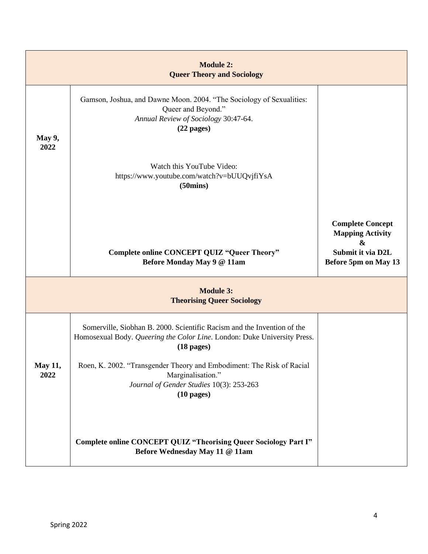|                 | <b>Module 2:</b><br><b>Queer Theory and Sociology</b>                                                                                                                       |                                                                                                                  |  |  |
|-----------------|-----------------------------------------------------------------------------------------------------------------------------------------------------------------------------|------------------------------------------------------------------------------------------------------------------|--|--|
| May 9,<br>2022  | Gamson, Joshua, and Dawne Moon. 2004. "The Sociology of Sexualities:<br>Queer and Beyond."<br>Annual Review of Sociology 30:47-64.<br>$(22$ pages)                          |                                                                                                                  |  |  |
|                 | Watch this YouTube Video:<br>https://www.youtube.com/watch?v=bUUQvjfiYsA<br>(50 <sub>mins</sub> )                                                                           |                                                                                                                  |  |  |
|                 | Complete online CONCEPT QUIZ "Queer Theory"<br>Before Monday May 9 @ 11am                                                                                                   | <b>Complete Concept</b><br><b>Mapping Activity</b><br>$\mathbf{\&}$<br>Submit it via D2L<br>Before 5pm on May 13 |  |  |
|                 | <b>Module 3:</b><br><b>Theorising Queer Sociology</b>                                                                                                                       |                                                                                                                  |  |  |
|                 | Somerville, Siobhan B. 2000. Scientific Racism and the Invention of the<br>Homosexual Body. Queering the Color Line. London: Duke University Press.<br>$(18 \text{ pages})$ |                                                                                                                  |  |  |
| May 11,<br>2022 | Roen, K. 2002. "Transgender Theory and Embodiment: The Risk of Racial<br>Marginalisation."<br>Journal of Gender Studies 10(3): 253-263<br>$(10 \text{ pages})$              |                                                                                                                  |  |  |
|                 | Complete online CONCEPT QUIZ "Theorising Queer Sociology Part I"<br>Before Wednesday May 11 @ 11am                                                                          |                                                                                                                  |  |  |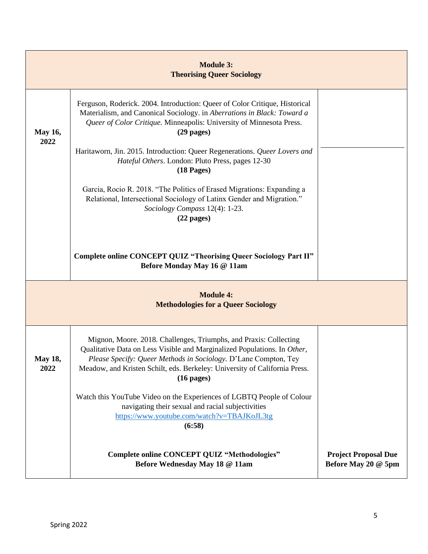|                                                                | <b>Module 3:</b><br><b>Theorising Queer Sociology</b>                                                                                                                                                                                                                                                                         |                                                    |  |
|----------------------------------------------------------------|-------------------------------------------------------------------------------------------------------------------------------------------------------------------------------------------------------------------------------------------------------------------------------------------------------------------------------|----------------------------------------------------|--|
| <b>May 16,</b><br>2022                                         | Ferguson, Roderick. 2004. Introduction: Queer of Color Critique, Historical<br>Materialism, and Canonical Sociology. in Aberrations in Black: Toward a<br>Queer of Color Critique. Minneapolis: University of Minnesota Press.<br>$(29$ pages)                                                                                |                                                    |  |
|                                                                | Haritaworn, Jin. 2015. Introduction: Queer Regenerations. Queer Lovers and<br>Hateful Others. London: Pluto Press, pages 12-30<br>$(18$ Pages)                                                                                                                                                                                |                                                    |  |
|                                                                | Garcia, Rocio R. 2018. "The Politics of Erased Migrations: Expanding a<br>Relational, Intersectional Sociology of Latinx Gender and Migration."<br>Sociology Compass 12(4): 1-23.<br>$(22$ pages)                                                                                                                             |                                                    |  |
|                                                                | Complete online CONCEPT QUIZ "Theorising Queer Sociology Part II"<br>Before Monday May 16 @ 11am                                                                                                                                                                                                                              |                                                    |  |
| <b>Module 4:</b><br><b>Methodologies for a Queer Sociology</b> |                                                                                                                                                                                                                                                                                                                               |                                                    |  |
| <b>May 18,</b><br>2022                                         | Mignon, Moore. 2018. Challenges, Triumphs, and Praxis: Collecting<br>Qualitative Data on Less Visible and Marginalized Populations. In Other,<br><i>Please Specify: Queer Methods in Sociology. D'Lane Compton, Tey</i><br>Meadow, and Kristen Schilt, eds. Berkeley: University of California Press.<br>$(16 \text{ pages})$ |                                                    |  |
|                                                                | Watch this YouTube Video on the Experiences of LGBTQ People of Colour<br>navigating their sexual and racial subjectivities<br>https://www.youtube.com/watch?v=TBAJKoJL3tg<br>(6:58)                                                                                                                                           |                                                    |  |
|                                                                | <b>Complete online CONCEPT QUIZ "Methodologies"</b><br>Before Wednesday May 18 @ 11am                                                                                                                                                                                                                                         | <b>Project Proposal Due</b><br>Before May 20 @ 5pm |  |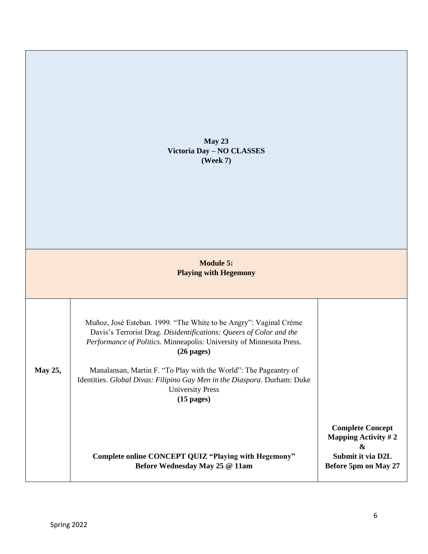**May 23 Victoria Day – NO CLASSES (Week 7)**

# **Module 5: Playing with Hegemony**

| Muñoz, José Esteban. 1999. "The White to be Angry": Vaginal Crème<br>Davis's Terrorist Drag. Disidentifications: Queers of Color and the<br><i>Performance of Politics.</i> Minneapolis: University of Minnesota Press.<br>$(26 \text{ pages})$ |                                                                                                            |
|-------------------------------------------------------------------------------------------------------------------------------------------------------------------------------------------------------------------------------------------------|------------------------------------------------------------------------------------------------------------|
| Manalansan, Martin F. "To Play with the World": The Pageantry of<br>Identities. <i>Global Divas: Filipino Gay Men in the Diaspora</i> . Durham: Duke<br><b>University Press</b><br>$(15 \text{ pages})$                                         |                                                                                                            |
| Complete online CONCEPT QUIZ "Playing with Hegemony"<br>Before Wednesday May 25 @ 11am                                                                                                                                                          | <b>Complete Concept</b><br>Mapping Activity $# 2$<br>&<br>Submit it via D2L<br><b>Before 5pm on May 27</b> |
|                                                                                                                                                                                                                                                 |                                                                                                            |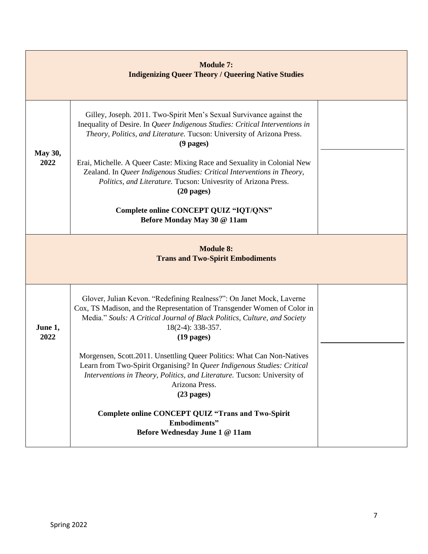|                                                             | <b>Module 7:</b><br><b>Indigenizing Queer Theory / Queering Native Studies</b>                                                                                                                                                                                                                                                                                                                                                                                                                                                                                  |  |  |  |
|-------------------------------------------------------------|-----------------------------------------------------------------------------------------------------------------------------------------------------------------------------------------------------------------------------------------------------------------------------------------------------------------------------------------------------------------------------------------------------------------------------------------------------------------------------------------------------------------------------------------------------------------|--|--|--|
| May 30,<br>2022                                             | Gilley, Joseph. 2011. Two-Spirit Men's Sexual Survivance against the<br>Inequality of Desire. In Queer Indigenous Studies: Critical Interventions in<br>Theory, Politics, and Literature. Tucson: University of Arizona Press.<br>$(9$ pages)<br>Erai, Michelle. A Queer Caste: Mixing Race and Sexuality in Colonial New<br>Zealand. In Queer Indigenous Studies: Critical Interventions in Theory,<br>Politics, and Literature. Tucson: Univesrity of Arizona Press.<br>$(20$ pages)<br>Complete online CONCEPT QUIZ "IQT/QNS"<br>Before Monday May 30 @ 11am |  |  |  |
| <b>Module 8:</b><br><b>Trans and Two-Spirit Embodiments</b> |                                                                                                                                                                                                                                                                                                                                                                                                                                                                                                                                                                 |  |  |  |
| June 1,<br>2022                                             | Glover, Julian Kevon. "Redefining Realness?": On Janet Mock, Laverne<br>Cox, TS Madison, and the Representation of Transgender Women of Color in<br>Media." Souls: A Critical Journal of Black Politics, Culture, and Society<br>18(2-4): 338-357.<br>$(19$ pages)<br>Morgensen, Scott.2011. Unsettling Queer Politics: What Can Non-Natives<br>Learn from Two-Spirit Organising? In Queer Indigenous Studies: Critical<br>Interventions in Theory, Politics, and Literature. Tucson: University of<br>Arizona Press.<br>$(23$ pages)                           |  |  |  |
|                                                             | Complete online CONCEPT QUIZ "Trans and Two-Spirit<br><b>Embodiments</b> "<br>Before Wednesday June 1 @ 11am                                                                                                                                                                                                                                                                                                                                                                                                                                                    |  |  |  |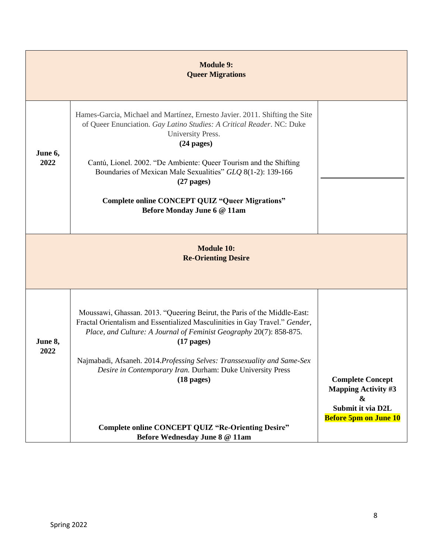|                 | <b>Module 9:</b><br><b>Queer Migrations</b>                                                                                                                                                                                                                                                                                                                                                                                                                                                                     |                                                                                                                                 |  |  |
|-----------------|-----------------------------------------------------------------------------------------------------------------------------------------------------------------------------------------------------------------------------------------------------------------------------------------------------------------------------------------------------------------------------------------------------------------------------------------------------------------------------------------------------------------|---------------------------------------------------------------------------------------------------------------------------------|--|--|
| June 6,<br>2022 | Hames-Garcia, Michael and Martínez, Ernesto Javier. 2011. Shifting the Site<br>of Queer Enunciation. Gay Latino Studies: A Critical Reader. NC: Duke<br>University Press.<br>$(24$ pages)<br>Cantú, Lionel. 2002. "De Ambiente: Queer Tourism and the Shifting<br>Boundaries of Mexican Male Sexualities" GLQ 8(1-2): 139-166<br>$(27$ pages)<br><b>Complete online CONCEPT QUIZ "Queer Migrations"</b><br>Before Monday June 6 @ 11am                                                                          |                                                                                                                                 |  |  |
|                 | <b>Module 10:</b><br><b>Re-Orienting Desire</b>                                                                                                                                                                                                                                                                                                                                                                                                                                                                 |                                                                                                                                 |  |  |
| June 8,<br>2022 | Moussawi, Ghassan. 2013. "Queering Beirut, the Paris of the Middle-East:<br>Fractal Orientalism and Essentialized Masculinities in Gay Travel." Gender,<br>Place, and Culture: A Journal of Feminist Geography 20(7): 858-875.<br>$(17 \text{ pages})$<br>Najmabadi, Afsaneh. 2014. Professing Selves: Transsexuality and Same-Sex<br>Desire in Contemporary Iran. Durham: Duke University Press<br>$(18$ pages)<br><b>Complete online CONCEPT QUIZ "Re-Orienting Desire"</b><br>Before Wednesday June 8 @ 11am | <b>Complete Concept</b><br><b>Mapping Activity #3</b><br>$\boldsymbol{\&}$<br>Submit it via D2L<br><b>Before 5pm on June 10</b> |  |  |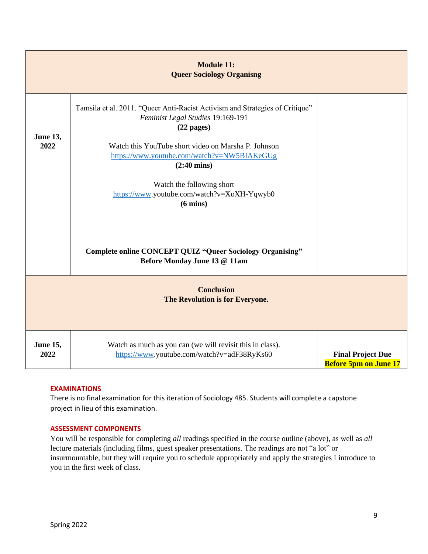|                         | <b>Module 11:</b><br><b>Queer Sociology Organisng</b>                                                                                                                                                                                                            |                                                          |
|-------------------------|------------------------------------------------------------------------------------------------------------------------------------------------------------------------------------------------------------------------------------------------------------------|----------------------------------------------------------|
| <b>June 13,</b><br>2022 | Tamsila et al. 2011. "Queer Anti-Racist Activism and Strategies of Critique"<br>Feminist Legal Studies 19:169-191<br>$(22$ pages)<br>Watch this YouTube short video on Marsha P. Johnson<br>https://www.youtube.com/watch?v=NW5BIAKeGUg<br>$(2:40 \text{ mins})$ |                                                          |
|                         | Watch the following short<br>https://www.youtube.com/watch?v=XoXH-Yqwyb0<br>$(6 \text{ mins})$<br><b>Complete online CONCEPT QUIZ "Queer Sociology Organising"</b><br>Before Monday June 13 @ 11am                                                               |                                                          |
|                         | <b>Conclusion</b><br>The Revolution is for Everyone.                                                                                                                                                                                                             |                                                          |
| <b>June 15,</b><br>2022 | Watch as much as you can (we will revisit this in class).<br>https://www.youtube.com/watch?v=adF38RyKs60                                                                                                                                                         | <b>Final Project Due</b><br><b>Before 5pm on June 17</b> |

### **EXAMINATIONS**

There is no final examination for this iteration of Sociology 485. Students will complete a capstone project in lieu of this examination.

### **ASSESSMENT COMPONENTS**

You will be responsible for completing *all* readings specified in the course outline (above), as well as *all* lecture materials (including films, guest speaker presentations. The readings are not "a lot" or insurmountable, but they will require you to schedule appropriately and apply the strategies I introduce to you in the first week of class.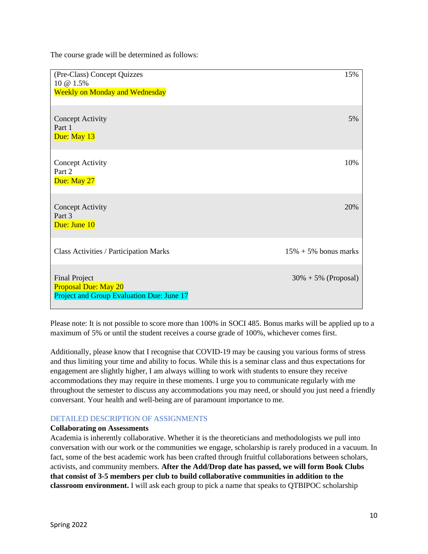The course grade will be determined as follows:

| (Pre-Class) Concept Quizzes<br>10 @ 1.5%<br><b>Weekly on Monday and Wednesday</b>                | 15%                      |
|--------------------------------------------------------------------------------------------------|--------------------------|
| <b>Concept Activity</b><br>Part 1<br>Due: May 13                                                 | 5%                       |
| <b>Concept Activity</b><br>Part 2<br>Due: May 27                                                 | 10%                      |
| <b>Concept Activity</b><br>Part 3<br>Due: June 10                                                | 20%                      |
| <b>Class Activities / Participation Marks</b>                                                    | $15\% + 5\%$ bonus marks |
| <b>Final Project</b><br><b>Proposal Due: May 20</b><br>Project and Group Evaluation Due: June 17 | $30\% + 5\%$ (Proposal)  |

Please note: It is not possible to score more than 100% in SOCI 485. Bonus marks will be applied up to a maximum of 5% or until the student receives a course grade of 100%, whichever comes first.

Additionally, please know that I recognise that COVID-19 may be causing you various forms of stress and thus limiting your time and ability to focus. While this is a seminar class and thus expectations for engagement are slightly higher, I am always willing to work with students to ensure they receive accommodations they may require in these moments. I urge you to communicate regularly with me throughout the semester to discuss any accommodations you may need, or should you just need a friendly conversant. Your health and well-being are of paramount importance to me.

# DETAILED DESCRIPTION OF ASSIGNMENTS

### **Collaborating on Assessments**

Academia is inherently collaborative. Whether it is the theoreticians and methodologists we pull into conversation with our work or the communities we engage, scholarship is rarely produced in a vacuum. In fact, some of the best academic work has been crafted through fruitful collaborations between scholars, activists, and community members. **After the Add/Drop date has passed, we will form Book Clubs that consist of 3-5 members per club to build collaborative communities in addition to the classroom environment.** I will ask each group to pick a name that speaks to QTBIPOC scholarship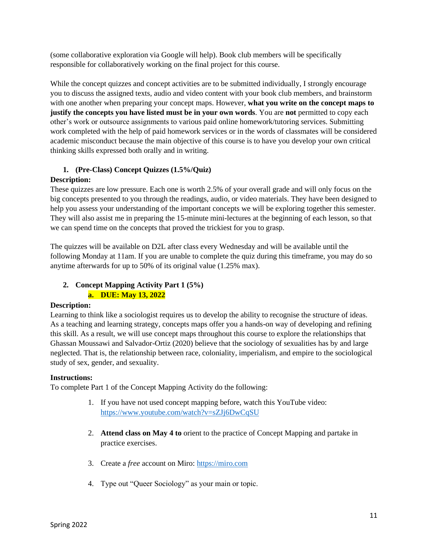(some collaborative exploration via Google will help). Book club members will be specifically responsible for collaboratively working on the final project for this course.

While the concept quizzes and concept activities are to be submitted individually, I strongly encourage you to discuss the assigned texts, audio and video content with your book club members, and brainstorm with one another when preparing your concept maps. However, **what you write on the concept maps to justify the concepts you have listed must be in your own words**. You are **not** permitted to copy each other's work or outsource assignments to various paid online homework/tutoring services. Submitting work completed with the help of paid homework services or in the words of classmates will be considered academic misconduct because the main objective of this course is to have you develop your own critical thinking skills expressed both orally and in writing.

# **1. (Pre-Class) Concept Quizzes (1.5%/Quiz)**

# **Description:**

These quizzes are low pressure. Each one is worth 2.5% of your overall grade and will only focus on the big concepts presented to you through the readings, audio, or video materials. They have been designed to help you assess your understanding of the important concepts we will be exploring together this semester. They will also assist me in preparing the 15-minute mini-lectures at the beginning of each lesson, so that we can spend time on the concepts that proved the trickiest for you to grasp.

The quizzes will be available on D2L after class every Wednesday and will be available until the following Monday at 11am. If you are unable to complete the quiz during this timeframe, you may do so anytime afterwards for up to 50% of its original value (1.25% max).

# **2. Concept Mapping Activity Part 1 (5%) a. DUE: May 13, 2022**

### **Description:**

Learning to think like a sociologist requires us to develop the ability to recognise the structure of ideas. As a teaching and learning strategy, concepts maps offer you a hands-on way of developing and refining this skill. As a result, we will use concept maps throughout this course to explore the relationships that Ghassan Moussawi and Salvador-Ortiz (2020) believe that the sociology of sexualities has by and large neglected. That is, the relationship between race, coloniality, imperialism, and empire to the sociological study of sex, gender, and sexuality.

### **Instructions:**

To complete Part 1 of the Concept Mapping Activity do the following:

- 1. If you have not used concept mapping before, watch this YouTube video: <https://www.youtube.com/watch?v=sZJj6DwCqSU>
- 2. **Attend class on May 4 to** orient to the practice of Concept Mapping and partake in practice exercises.
- 3. Create a *free* account on Miro: [https://miro.com](https://miro.com/)
- 4. Type out "Queer Sociology" as your main or topic.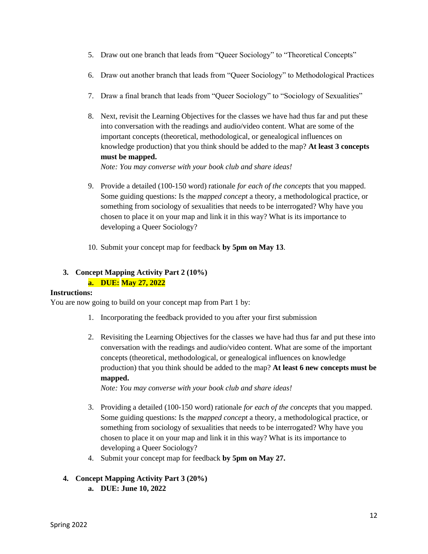- 5. Draw out one branch that leads from "Queer Sociology" to "Theoretical Concepts"
- 6. Draw out another branch that leads from "Queer Sociology" to Methodological Practices
- 7. Draw a final branch that leads from "Queer Sociology" to "Sociology of Sexualities"
- 8. Next, revisit the Learning Objectives for the classes we have had thus far and put these into conversation with the readings and audio/video content. What are some of the important concepts (theoretical, methodological, or genealogical influences on knowledge production) that you think should be added to the map? **At least 3 concepts must be mapped.**

*Note: You may converse with your book club and share ideas!*

- 9. Provide a detailed (100-150 word) rationale *for each of the concepts* that you mapped. Some guiding questions: Is the *mapped concept* a theory, a methodological practice, or something from sociology of sexualities that needs to be interrogated? Why have you chosen to place it on your map and link it in this way? What is its importance to developing a Queer Sociology?
- 10. Submit your concept map for feedback **by 5pm on May 13**.

# **3. Concept Mapping Activity Part 2 (10%) a. DUE: May 27, 2022**

### **Instructions:**

You are now going to build on your concept map from Part 1 by:

- 1. Incorporating the feedback provided to you after your first submission
- 2. Revisiting the Learning Objectives for the classes we have had thus far and put these into conversation with the readings and audio/video content. What are some of the important concepts (theoretical, methodological, or genealogical influences on knowledge production) that you think should be added to the map? **At least 6 new concepts must be mapped.**

*Note: You may converse with your book club and share ideas!*

- 3. Providing a detailed (100-150 word) rationale *for each of the concepts* that you mapped. Some guiding questions: Is the *mapped concept* a theory, a methodological practice, or something from sociology of sexualities that needs to be interrogated? Why have you chosen to place it on your map and link it in this way? What is its importance to developing a Queer Sociology?
- 4. Submit your concept map for feedback **by 5pm on May 27.**

# **4. Concept Mapping Activity Part 3 (20%)**

**a. DUE: June 10, 2022**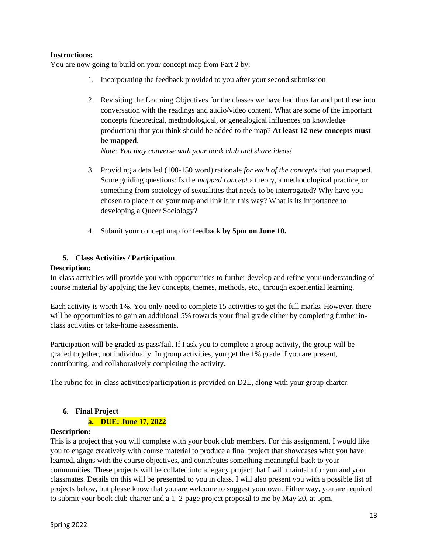### **Instructions:**

You are now going to build on your concept map from Part 2 by:

- 1. Incorporating the feedback provided to you after your second submission
- 2. Revisiting the Learning Objectives for the classes we have had thus far and put these into conversation with the readings and audio/video content. What are some of the important concepts (theoretical, methodological, or genealogical influences on knowledge production) that you think should be added to the map? **At least 12 new concepts must be mapped**.

*Note: You may converse with your book club and share ideas!*

- 3. Providing a detailed (100-150 word) rationale *for each of the concepts* that you mapped. Some guiding questions: Is the *mapped concept* a theory, a methodological practice, or something from sociology of sexualities that needs to be interrogated? Why have you chosen to place it on your map and link it in this way? What is its importance to developing a Queer Sociology?
- 4. Submit your concept map for feedback **by 5pm on June 10.**

# **5. Class Activities / Participation**

# **Description:**

In-class activities will provide you with opportunities to further develop and refine your understanding of course material by applying the key concepts, themes, methods, etc., through experiential learning.

Each activity is worth 1%. You only need to complete 15 activities to get the full marks. However, there will be opportunities to gain an additional 5% towards your final grade either by completing further inclass activities or take-home assessments.

Participation will be graded as pass/fail. If I ask you to complete a group activity, the group will be graded together, not individually. In group activities, you get the 1% grade if you are present, contributing, and collaboratively completing the activity.

The rubric for in-class activities/participation is provided on D2L, along with your group charter.

# **6. Final Project**

# **a. DUE: June 17, 2022**

### **Description:**

This is a project that you will complete with your book club members. For this assignment, I would like you to engage creatively with course material to produce a final project that showcases what you have learned, aligns with the course objectives, and contributes something meaningful back to your communities. These projects will be collated into a legacy project that I will maintain for you and your classmates. Details on this will be presented to you in class. I will also present you with a possible list of projects below, but please know that you are welcome to suggest your own. Either way, you are required to submit your book club charter and a 1–2-page project proposal to me by May 20, at 5pm.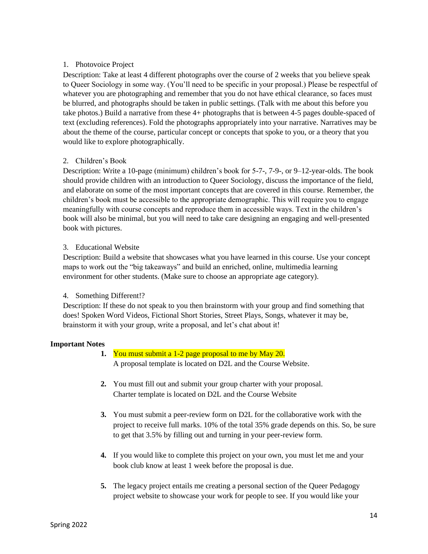## 1. Photovoice Project

Description: Take at least 4 different photographs over the course of 2 weeks that you believe speak to Queer Sociology in some way. (You'll need to be specific in your proposal.) Please be respectful of whatever you are photographing and remember that you do not have ethical clearance, so faces must be blurred, and photographs should be taken in public settings. (Talk with me about this before you take photos.) Build a narrative from these 4+ photographs that is between 4-5 pages double-spaced of text (excluding references). Fold the photographs appropriately into your narrative. Narratives may be about the theme of the course, particular concept or concepts that spoke to you, or a theory that you would like to explore photographically.

# 2. Children's Book

Description: Write a 10-page (minimum) children's book for 5-7-, 7-9-, or 9–12-year-olds. The book should provide children with an introduction to Queer Sociology, discuss the importance of the field, and elaborate on some of the most important concepts that are covered in this course. Remember, the children's book must be accessible to the appropriate demographic. This will require you to engage meaningfully with course concepts and reproduce them in accessible ways. Text in the children's book will also be minimal, but you will need to take care designing an engaging and well-presented book with pictures.

### 3. Educational Website

Description: Build a website that showcases what you have learned in this course. Use your concept maps to work out the "big takeaways" and build an enriched, online, multimedia learning environment for other students. (Make sure to choose an appropriate age category).

### 4. Something Different!?

Description: If these do not speak to you then brainstorm with your group and find something that does! Spoken Word Videos, Fictional Short Stories, Street Plays, Songs, whatever it may be, brainstorm it with your group, write a proposal, and let's chat about it!

# **Important Notes**

- **1.** You must submit a 1-2 page proposal to me by May 20. A proposal template is located on D2L and the Course Website.
- **2.** You must fill out and submit your group charter with your proposal. Charter template is located on D2L and the Course Website
- **3.** You must submit a peer-review form on D2L for the collaborative work with the project to receive full marks. 10% of the total 35% grade depends on this. So, be sure to get that 3.5% by filling out and turning in your peer-review form.
- **4.** If you would like to complete this project on your own, you must let me and your book club know at least 1 week before the proposal is due.
- **5.** The legacy project entails me creating a personal section of the Queer Pedagogy project website to showcase your work for people to see. If you would like your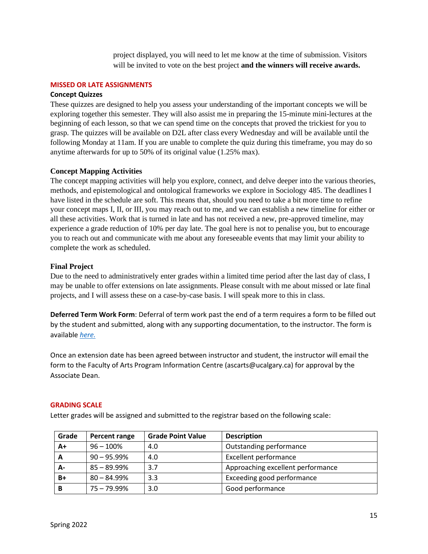project displayed, you will need to let me know at the time of submission. Visitors will be invited to vote on the best project **and the winners will receive awards.**

#### **MISSED OR LATE ASSIGNMENTS**

### **Concept Quizzes**

These quizzes are designed to help you assess your understanding of the important concepts we will be exploring together this semester. They will also assist me in preparing the 15-minute mini-lectures at the beginning of each lesson, so that we can spend time on the concepts that proved the trickiest for you to grasp. The quizzes will be available on D2L after class every Wednesday and will be available until the following Monday at 11am. If you are unable to complete the quiz during this timeframe, you may do so anytime afterwards for up to 50% of its original value (1.25% max).

### **Concept Mapping Activities**

The concept mapping activities will help you explore, connect, and delve deeper into the various theories, methods, and epistemological and ontological frameworks we explore in Sociology 485. The deadlines I have listed in the schedule are soft. This means that, should you need to take a bit more time to refine your concept maps I, II, or III, you may reach out to me, and we can establish a new timeline for either or all these activities. Work that is turned in late and has not received a new, pre-approved timeline, may experience a grade reduction of 10% per day late. The goal here is not to penalise you, but to encourage you to reach out and communicate with me about any foreseeable events that may limit your ability to complete the work as scheduled.

### **Final Project**

Due to the need to administratively enter grades within a limited time period after the last day of class, I may be unable to offer extensions on late assignments. Please consult with me about missed or late final projects, and I will assess these on a case-by-case basis. I will speak more to this in class.

**Deferred Term Work Form**: Deferral of term work past the end of a term requires a form to be filled out by the student and submitted, along with any supporting documentation, to the instructor. The form is available *[here.](https://www.ucalgary.ca/registrar/student-centre/student-forms)*

Once an extension date has been agreed between instructor and student, the instructor will email the form to the Faculty of Arts Program Information Centre (ascarts@ucalgary.ca) for approval by the Associate Dean.

#### **GRADING SCALE**

Letter grades will be assigned and submitted to the registrar based on the following scale:

| Grade | Percent range  | <b>Grade Point Value</b> | <b>Description</b>                |
|-------|----------------|--------------------------|-----------------------------------|
| A+    | $96 - 100%$    | 4.0                      | Outstanding performance           |
| A     | $90 - 95.99\%$ | 4.0                      | <b>Excellent performance</b>      |
| А-    | $85 - 89.99\%$ | 3.7                      | Approaching excellent performance |
| $B+$  | $80 - 84.99%$  | 3.3                      | Exceeding good performance        |
| B     | 75 – 79.99%    | 3.0                      | Good performance                  |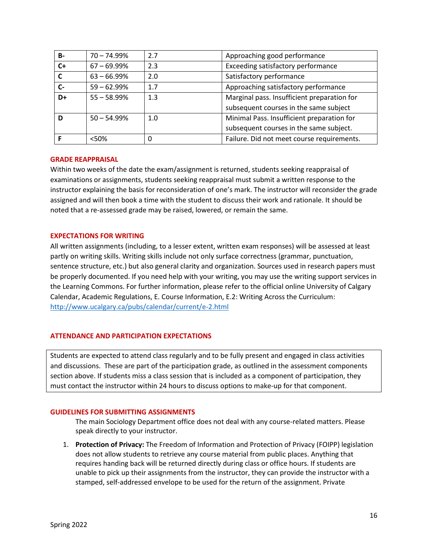| <b>B-</b> | $70 - 74.99%$  | 2.7 | Approaching good performance                |
|-----------|----------------|-----|---------------------------------------------|
| $C+$      | $67 - 69.99\%$ | 2.3 | Exceeding satisfactory performance          |
| C         | $63 - 66.99\%$ | 2.0 | Satisfactory performance                    |
| $C -$     | $59 - 62.99%$  | 1.7 | Approaching satisfactory performance        |
| D+        | $55 - 58.99%$  | 1.3 | Marginal pass. Insufficient preparation for |
|           |                |     | subsequent courses in the same subject      |
| D         | $50 - 54.99%$  | 1.0 | Minimal Pass. Insufficient preparation for  |
|           |                |     | subsequent courses in the same subject.     |
|           | < 50%          | 0   | Failure. Did not meet course requirements.  |

### **GRADE REAPPRAISAL**

Within two weeks of the date the exam/assignment is returned, students seeking reappraisal of examinations or assignments, students seeking reappraisal must submit a written response to the instructor explaining the basis for reconsideration of one's mark. The instructor will reconsider the grade assigned and will then book a time with the student to discuss their work and rationale. It should be noted that a re-assessed grade may be raised, lowered, or remain the same.

### **EXPECTATIONS FOR WRITING**

All written assignments (including, to a lesser extent, written exam responses) will be assessed at least partly on writing skills. Writing skills include not only surface correctness (grammar, punctuation, sentence structure, etc.) but also general clarity and organization. Sources used in research papers must be properly documented. If you need help with your writing, you may use the writing support services in the Learning Commons. For further information, please refer to the official online University of Calgary Calendar, Academic Regulations, E. Course Information, E.2: Writing Across the Curriculum: <http://www.ucalgary.ca/pubs/calendar/current/e-2.html>

### **ATTENDANCE AND PARTICIPATION EXPECTATIONS**

Students are expected to attend class regularly and to be fully present and engaged in class activities and discussions. These are part of the participation grade, as outlined in the assessment components section above. If students miss a class session that is included as a component of participation, they must contact the instructor within 24 hours to discuss options to make-up for that component.

### **GUIDELINES FOR SUBMITTING ASSIGNMENTS**

The main Sociology Department office does not deal with any course-related matters. Please speak directly to your instructor.

1. **Protection of Privacy:** The Freedom of Information and Protection of Privacy (FOIPP) legislation does not allow students to retrieve any course material from public places. Anything that requires handing back will be returned directly during class or office hours. If students are unable to pick up their assignments from the instructor, they can provide the instructor with a stamped, self-addressed envelope to be used for the return of the assignment. Private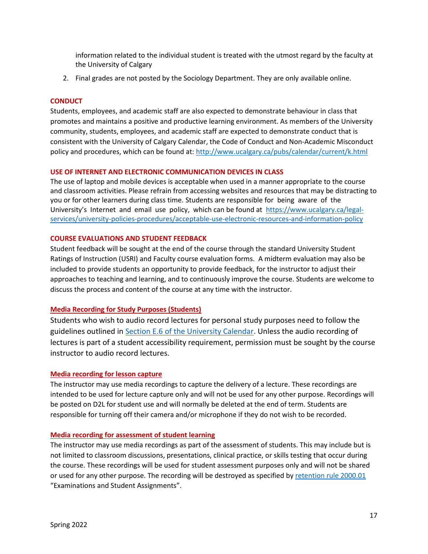information related to the individual student is treated with the utmost regard by the faculty at the University of Calgary

2. Final grades are not posted by the Sociology Department. They are only available online.

### **CONDUCT**

Students, employees, and academic staff are also expected to demonstrate behaviour in class that promotes and maintains a positive and productive learning environment. As members of the University community, students, employees, and academic staff are expected to demonstrate conduct that is consistent with the University of Calgary Calendar, the Code of Conduct and Non-Academic Misconduct policy and procedures, which can be found at:<http://www.ucalgary.ca/pubs/calendar/current/k.html>

### **USE OF INTERNET AND ELECTRONIC COMMUNICATION DEVICES IN CLASS**

The use of laptop and mobile devices is acceptable when used in a manner appropriate to the course and classroom activities. Please refrain from accessing websites and resources that may be distracting to you or for other learners during class time. Students are responsible for being aware of the University's Internet and email use policy, which can be found at [https://www.ucalgary.ca/legal](https://www.ucalgary.ca/legal-services/university-policies-procedures/acceptable-use-electronic-resources-and-information-policy)[services/university-policies-procedures/acceptable-use-electronic-resources-and-information-policy](https://www.ucalgary.ca/legal-services/university-policies-procedures/acceptable-use-electronic-resources-and-information-policy)

### **COURSE EVALUATIONS AND STUDENT FEEDBACK**

Student feedback will be sought at the end of the course through the standard University Student Ratings of Instruction (USRI) and Faculty course evaluation forms. A midterm evaluation may also be included to provide students an opportunity to provide feedback, for the instructor to adjust their approaches to teaching and learning, and to continuously improve the course. Students are welcome to discuss the process and content of the course at any time with the instructor.

### **Media Recording for Study Purposes (Students)**

Students who wish to audio record lectures for personal study purposes need to follow the guidelines outlined in [Section E.6 of the University Calendar.](https://www.ucalgary.ca/pubs/calendar/current/e-6.html) Unless the audio recording of lectures is part of a student accessibility requirement, permission must be sought by the course instructor to audio record lectures.

#### **Media recording for lesson capture**

The instructor may use media recordings to capture the delivery of a lecture. These recordings are intended to be used for lecture capture only and will not be used for any other purpose. Recordings will be posted on D2L for student use and will normally be deleted at the end of term. Students are responsible for turning off their camera and/or microphone if they do not wish to be recorded.

#### **Media recording for assessment of student learning**

The instructor may use media recordings as part of the assessment of students. This may include but is not limited to classroom discussions, presentations, clinical practice, or skills testing that occur during the course. These recordings will be used for student assessment purposes only and will not be shared or used for any other purpose. The recording will be destroyed as specified b[y retention rule 2000.01](https://asc.ucalgary.ca/marrs/examinations-and-assignments)  "Examinations and Student Assignments".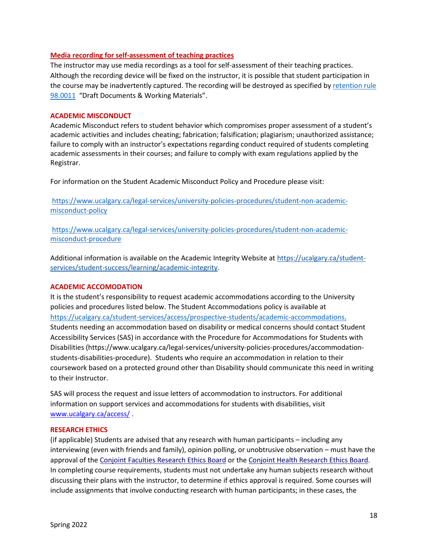### **Media recording for self-assessment of teaching practices**

The instructor may use media recordings as a tool for self-assessment of their teaching practices. Although the recording device will be fixed on the instructor, it is possible that student participation in the course may be inadvertently captured. The recording will be destroyed as specified by [retention rule](https://asc.ucalgary.ca/marrs/draft-documents)  [98.0011](https://asc.ucalgary.ca/marrs/draft-documents) "Draft Documents & Working Materials".

### **ACADEMIC MISCONDUCT**

Academic Misconduct refers to student behavior which compromises proper assessment of a student's academic activities and includes cheating; fabrication; falsification; plagiarism; unauthorized assistance; failure to comply with an instructor's expectations regarding conduct required of students completing academic assessments in their courses; and failure to comply with exam regulations applied by the Registrar.

For information on the Student Academic Misconduct Policy and Procedure please visit:

[https://www.ucalgary.ca/legal-services/university-policies-procedures/student-non-academic](https://www.ucalgary.ca/legal-services/university-policies-procedures/student-non-academic-misconduct-policy)[misconduct-policy](https://www.ucalgary.ca/legal-services/university-policies-procedures/student-non-academic-misconduct-policy)

[https://www.ucalgary.ca/legal-services/university-policies-procedures/student-non-academic](https://www.ucalgary.ca/legal-services/university-policies-procedures/student-non-academic-misconduct-procedure)[misconduct-procedure](https://www.ucalgary.ca/legal-services/university-policies-procedures/student-non-academic-misconduct-procedure)

Additional information is available on the Academic Integrity Website at [https://ucalgary.ca/student](https://ucalgary.ca/student-services/student-success/learning/academic-integrity)[services/student-success/learning/academic-integrity.](https://ucalgary.ca/student-services/student-success/learning/academic-integrity)

### **ACADEMIC ACCOMODATION**

It is the student's responsibility to request academic accommodations according to the University policies and procedures listed below. The Student Accommodations policy is available at [https://ucalgary.ca/student-services/access/prospective-students/academic-accommodations.](https://ucalgary.ca/student-services/access/prospective-students/academic-accommodations) Students needing an accommodation based on disability or medical concerns should contact Student Accessibility Services (SAS) in accordance with the Procedure for Accommodations for Students with Disabilities (https://www.ucalgary.ca/legal-services/university-policies-procedures/accommodationstudents-disabilities-procedure). Students who require an accommodation in relation to their coursework based on a protected ground other than Disability should communicate this need in writing to their Instructor.

SAS will process the request and issue letters of accommodation to instructors. For additional information on support services and accommodations for students with disabilities, visit [www.ucalgary.ca/access/](http://www.ucalgary.ca/access/) .

### **RESEARCH ETHICS**

(if applicable) Students are advised that any research with human participants – including any interviewing (even with friends and family), opinion polling, or unobtrusive observation – must have the approval of the [Conjoint Faculties Research Ethics Board](https://research.ucalgary.ca/conduct-research/ethics-compliance/human-research-ethics/conjoint-faculties-research-ethics-board) or the [Conjoint Health Research Ethics Board.](https://research.ucalgary.ca/conduct-research/ethics-compliance/human-research-ethics/conjoint-health-research-ethics-board) In completing course requirements, students must not undertake any human subjects research without discussing their plans with the instructor, to determine if ethics approval is required. Some courses will include assignments that involve conducting research with human participants; in these cases, the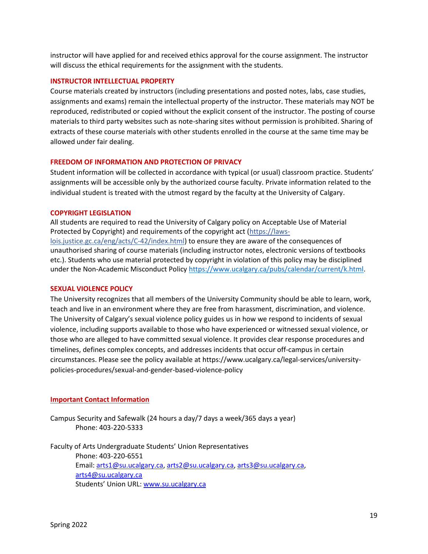instructor will have applied for and received ethics approval for the course assignment. The instructor will discuss the ethical requirements for the assignment with the students.

### **INSTRUCTOR INTELLECTUAL PROPERTY**

Course materials created by instructors (including presentations and posted notes, labs, case studies, assignments and exams) remain the intellectual property of the instructor. These materials may NOT be reproduced, redistributed or copied without the explicit consent of the instructor. The posting of course materials to third party websites such as note-sharing sites without permission is prohibited. Sharing of extracts of these course materials with other students enrolled in the course at the same time may be allowed under fair dealing.

#### **FREEDOM OF INFORMATION AND PROTECTION OF PRIVACY**

Student information will be collected in accordance with typical (or usual) classroom practice. Students' assignments will be accessible only by the authorized course faculty. Private information related to the individual student is treated with the utmost regard by the faculty at the University of Calgary.

#### **COPYRIGHT LEGISLATION**

All students are required to read the University of Calgary policy on Acceptable Use of Material Protected by Copyright) and requirements of the copyright act (https://lawslois.justice.gc.ca/eng/acts/C-42/index.html) to ensure they are aware of the consequences of unauthorised sharing of course materials (including instructor notes, electronic versions of textbooks etc.). Students who use material protected by copyright in violation of this policy may be disciplined under the Non-Academic Misconduct Policy [https://www.ucalgary.ca/pubs/calendar/current/k.html.](https://www.ucalgary.ca/pubs/calendar/current/k.html)

### **SEXUAL VIOLENCE POLICY**

The University recognizes that all members of the University Community should be able to learn, work, teach and live in an environment where they are free from harassment, discrimination, and violence. The University of Calgary's sexual violence policy guides us in how we respond to incidents of sexual violence, including supports available to those who have experienced or witnessed sexual violence, or those who are alleged to have committed sexual violence. It provides clear response procedures and timelines, defines complex concepts, and addresses incidents that occur off-campus in certain circumstances. Please see the policy available at https://www.ucalgary.ca/legal-services/universitypolicies-procedures/sexual-and-gender-based-violence-policy

#### **Important Contact Information**

Campus Security and Safewalk (24 hours a day/7 days a week/365 days a year) Phone: 403-220-5333

Faculty of Arts Undergraduate Students' Union Representatives Phone: 403-220-6551 Email: [arts1@su.ucalgary.ca,](mailto:arts1@su.ucalgary.ca) [arts2@su.ucalgary.ca,](mailto:arts2@su.ucalgary.ca) [arts3@su.ucalgary.ca,](mailto:arts3@su.ucalgary.ca) [arts4@su.ucalgary.ca](mailto:arts4@su.ucalgary.ca) Students' Union URL: [www.su.ucalgary.ca](http://www.su.ucalgary.ca/)